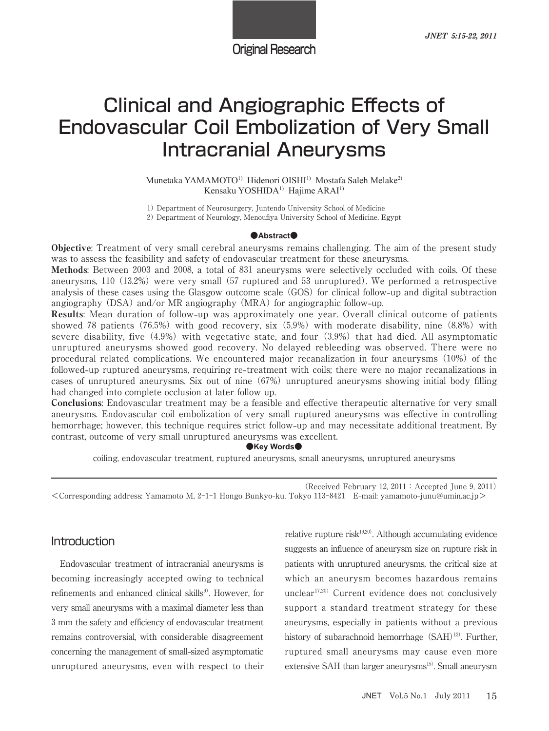Original Research

# Clinical and Angiographic Effects of Endovascular Coil Embolization of Very Small Intracranial Aneurysms

Munetaka YAMAMOTO<sup>1)</sup> Hidenori OISHI<sup>1)</sup> Mostafa Saleh Melake<sup>2)</sup> Kensaku YOSHIDA<sup>1)</sup> Hajime ARAI<sup>1)</sup>

1) Department of Neurosurgery, Juntendo University School of Medicine Department of Neurology, Menoufiya University School of Medicine, Egypt

#### **@Abstract**

Objective: Treatment of very small cerebral aneurysms remains challenging. The aim of the present study was to assess the feasibility and safety of endovascular treatment for these aneurysms.

Methods: Between 2003 and 2008, a total of 831 aneurysms were selectively occluded with coils. Of these aneurysms, 110 (13.2%) were very small (57 ruptured and 53 unruptured). We performed a retrospective analysis of these cases using the Glasgow outcome scale GOS for clinical follow**-**up and digital subtraction angiography (DSA) and/or MR angiography (MRA) for angiographic follow-up.

Results: Mean duration of follow**-**up was approximately one year. Overall clinical outcome of patients showed 78 patients (76.5%) with good recovery, six  $(5.9\%)$  with moderate disability, nine  $(8.8\%)$  with severe disability, five  $(4.9\%)$  with vegetative state, and four  $(3.9\%)$  that had died. All asymptomatic unruptured aneurysms showed good recovery. No delayed rebleeding was observed. There were no procedural related complications. We encountered major recanalization in four aneurysms (10%) of the followed**-**up ruptured aneurysms, requiring re**-**treatment with coils; there were no major recanalizations in cases of unruptured aneurysms. Six out of nine (67%) unruptured aneurysms showing initial body filling had changed into complete occlusion at later follow up.

Conclusions: Endovascular treatment may be a feasible and effective therapeutic alternative for very small aneurysms. Endovascular coil embolization of very small ruptured aneurysms was effective in controlling hemorrhage; however, this technique requires strict follow**-**up and may necessitate additional treatment. By contrast, outcome of very small unruptured aneurysms was excellent.

●**Key Words●** 

coiling, endovascular treatment, ruptured aneurysms, small aneurysms, unruptured aneurysms

(Received February 12,  $2011$ : Accepted June 9,  $2011$ )  $\leq$ Corresponding address: Yamamoto M, 2-1-1 Hongo Bunkyo-ku, Tokyo 113-8421 E-mail: yamamoto-junu@umin.ac.jp>

# **Introduction**

Endovascular treatment of intracranial aneurysms is becoming increasingly accepted owing to technical refinements and enhanced clinical skills<sup>9)</sup>. However, for very small aneurysms with a maximal diameter less than mm the safety and efficiency of endovascular treatment remains controversial, with considerable disagreement concerning the management of small**-**sized asymptomatic unruptured aneurysms, even with respect to their

relative rupture risk<sup>19,20)</sup>. Although accumulating evidence suggests an influence of aneurysm size on rupture risk in patients with unruptured aneurysms, the critical size at which an aneurysm becomes hazardous remains unclear $17,20)$  Current evidence does not conclusively support a standard treatment strategy for these aneurysms, especially in patients without a previous history of subarachnoid hemorrhage (SAH)<sup>13)</sup>. Further, ruptured small aneurysms may cause even more extensive SAH than larger aneurysms<sup>15)</sup>. Small aneurysm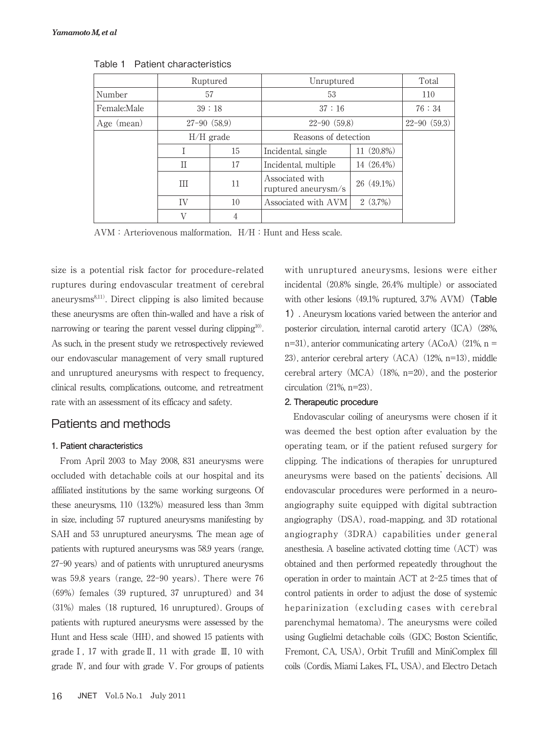|             | Ruptured      |    | Unruptured                             |              | Total           |
|-------------|---------------|----|----------------------------------------|--------------|-----------------|
| Number      | 57            |    | 53                                     |              | 110             |
| Female:Male | 39:18         |    | 37:16                                  |              | 76:34           |
| Age (mean)  | $27-90(58.9)$ |    | $22 - 90(59.8)$                        |              | $22 - 90(59.3)$ |
|             | $H/H$ grade   |    | Reasons of detection                   |              |                 |
|             |               | 15 | Incidental, single                     | 11 (20.8%)   |                 |
|             | П             | 17 | Incidental, multiple                   | 14 (26.4%)   |                 |
|             | Ш             | 11 | Associated with<br>ruptured aneurysm/s | $26(49.1\%)$ |                 |
|             | IV            | 10 | Associated with AVM                    | 2(3.7%)      |                 |
|             | V             | 4  |                                        |              |                 |

Table 1 Patient characteristics

 $AVM:$  Arteriovenous malformation,  $H/H:$  Hunt and Hess scale.

size is a potential risk factor for procedure**-**related ruptures during endovascular treatment of cerebral aneurysms<sup>8,11)</sup>. Direct clipping is also limited because these aneurysms are often thin**-**walled and have a risk of narrowing or tearing the parent vessel during clipping<sup>10</sup>. . As such, in the present study we retrospectively reviewed our endovascular management of very small ruptured and unruptured aneurysms with respect to frequency, clinical results, complications, outcome, and retreatment rate with an assessment of its efficacy and safety.

## Patients and methods

## **1. Patient characteristics**

From April 2003 to May 2008, 831 aneurysms were occluded with detachable coils at our hospital and its affiliated institutions by the same working surgeons. Of these aneurysms,  $110$   $(13.2%)$  measured less than 3mm in size, including 57 ruptured aneurysms manifesting by SAH and 53 unruptured aneurysms. The mean age of patients with ruptured aneurysms was 58.9 years (range, 27-90 years) and of patients with unruptured aneurysms was 59.8 years (range, 22-90 years). There were 76  $(69%)$  females  $(39$  ruptured, 37 unruptured) and 34  $(31%)$  males  $(18$  ruptured,  $16$  unruptured). Groups of patients with ruptured aneurysms were assessed by the Hunt and Hess scale (HH), and showed 15 patients with grade I, 17 with grade  $II$ , 11 with grade  $III$ , 10 with grade Ⅳ, and four with grade Ⅴ. For groups of patients with unruptured aneurysms, lesions were either incidental  $(20.8\% \text{ single}, 26.4\% \text{ multiple})$  or associated with other lesions  $(49.1\%$  ruptured,  $3.7\%$  AVM) (Table 1). Aneurysm locations varied between the anterior and posterior circulation, internal carotid artery (ICA) (28%,  $n=31$ ), anterior communicating artery (ACoA) (21%,  $n =$  $23$ ), anterior cerebral artery  $(ACA)$   $(12\%, n=13)$ , middle cerebral artery  $(MCA)$   $(18\%, n=20)$ , and the posterior circulation  $(21\%, n=23)$ .

## **2. Therapeutic procedure**

Endovascular coiling of aneurysms were chosen if it was deemed the best option after evaluation by the operating team, or if the patient refused surgery for clipping. The indications of therapies for unruptured aneurysms were based on the patients' decisions. All endovascular procedures were performed in a neuroangiography suite equipped with digital subtraction angiography (DSA), road-mapping, and 3D rotational angiography (3DRA) capabilities under general anesthesia. A baseline activated clotting time (ACT) was obtained and then performed repeatedly throughout the operation in order to maintain ACT at  $2-2.5$  times that of control patients in order to adjust the dose of systemic heparinization excluding cases with cerebral parenchymal hematoma). The aneurysms were coiled using Guglielmi detachable coils GDC; Boston Scientific, Fremont, CA, USA), Orbit Trufill and MiniComplex fill coils (Cordis, Miami Lakes, FL, USA), and Electro Detach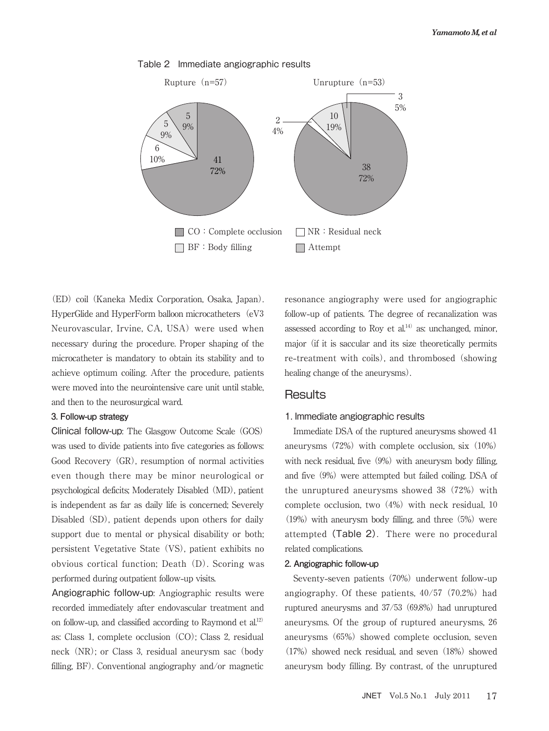

## Table 2 Immediate angiographic results

 ED coil Kaneka Medix Corporation, Osaka, Japan. HyperGlide and HyperForm balloon microcatheters (eV3 Neurovascular, Irvine, CA, USA) were used when necessary during the procedure. Proper shaping of the microcatheter is mandatory to obtain its stability and to achieve optimum coiling. After the procedure, patients were moved into the neurointensive care unit until stable, and then to the neurosurgical ward.

## **3. Follow-up strategy**

Clinical follow-up: The Glasgow Outcome Scale GOS was used to divide patients into five categories as follows: Good Recovery (GR), resumption of normal activities even though there may be minor neurological or psychological deficits; Moderately Disabled (MD), patient is independent as far as daily life is concerned; Severely Disabled SD, patient depends upon others for daily support due to mental or physical disability or both; persistent Vegetative State (VS), patient exhibits no obvious cortical function; Death D. Scoring was performed during outpatient follow**-**up visits.

Angiographic follow-up: Angiographic results were recorded immediately after endovascular treatment and on follow**-**up, and classified according to Raymond et al. as: Class 1, complete occlusion (CO); Class 2, residual neck (NR); or Class 3, residual aneurysm sac (body filling,  $BF$ ). Conventional angiography and/or magnetic resonance angiography were used for angiographic follow**-**up of patients. The degree of recanalization was assessed according to Roy et al. $14)$  as: unchanged, minor, major if it is saccular and its size theoretically permits re-treatment with coils), and thrombosed (showing healing change of the aneurysms).

## **Results**

## 1. Immediate angiographic results

Immediate DSA of the ruptured aneurysms showed aneurysms  $(72%)$  with complete occlusion, six  $(10%)$ with neck residual, five  $(9%)$  with aneurysm body filling, and five  $(9%)$  were attempted but failed coiling. DSA of the unruptured aneurysms showed  $38$   $(72%)$  with complete occlusion, two  $(4%)$  with neck residual, 10  $(19%)$  with aneurysm body filling, and three  $(5%)$  were attempted (Table 2). There were no procedural related complications.

## **2. Angiographic follow-up**

Seventy-seven patients (70%) underwent follow-up angiography. Of these patients,  $40/57$  (70.2%) had ruptured aneurysms and  $37/53$  (69.8%) had unruptured aneurysms. Of the group of ruptured aneurysms, aneurysms (65%) showed complete occlusion, seven  $(17%)$  showed neck residual, and seven  $(18%)$  showed aneurysm body filling. By contrast, of the unruptured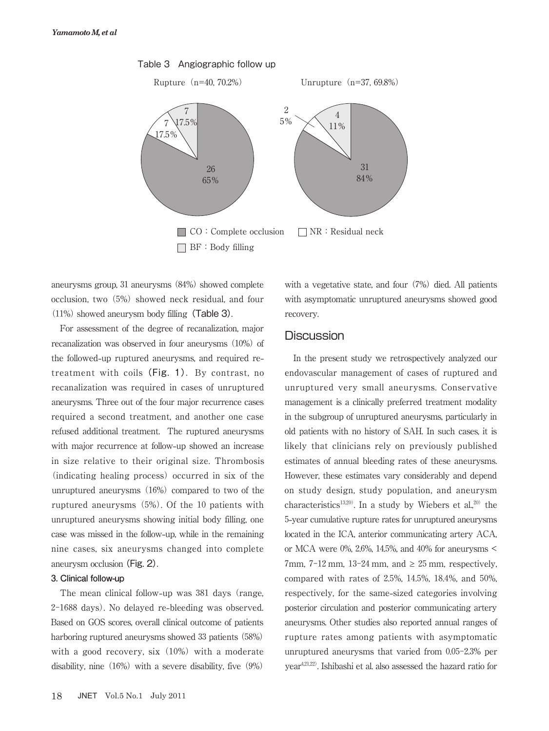

Table 3 Angiographic follow up

aneurysms group, 31 aneurysms (84%) showed complete occlusion, two (5%) showed neck residual, and four  $(11%)$  showed aneurysm body filling (Table 3).

For assessment of the degree of recanalization, major recanalization was observed in four aneurysms (10%) of the followed**-**up ruptured aneurysms, and required retreatment with coils (Fig. 1). By contrast, no recanalization was required in cases of unruptured aneurysms. Three out of the four major recurrence cases required a second treatment, and another one case refused additional treatment. The ruptured aneurysms with major recurrence at follow**-**up showed an increase in size relative to their original size. Thrombosis (indicating healing process) occurred in six of the unruptured aneurysms  $(16%)$  compared to two of the ruptured aneurysms (5%). Of the 10 patients with unruptured aneurysms showing initial body filling, one case was missed in the follow**-**up, while in the remaining nine cases, six aneurysms changed into complete aneurysm occlusion(Fig. 2).

## **3. Clinical follow-up**

The mean clinical follow-up was 381 days (range, 2-1688 days). No delayed re-bleeding was observed. Based on GOS scores, overall clinical outcome of patients harboring ruptured aneurysms showed 33 patients (58%) with a good recovery,  $six$   $(10\%)$  with a moderate disability, nine  $(16%)$  with a severe disability, five  $(9%)$  with a vegetative state, and four  $(7%)$  died. All patients with asymptomatic unruptured aneurysms showed good recovery.

# **Discussion**

In the present study we retrospectively analyzed our endovascular management of cases of ruptured and unruptured very small aneurysms. Conservative management is a clinically preferred treatment modality in the subgroup of unruptured aneurysms, particularly in old patients with no history of SAH. In such cases, it is likely that clinicians rely on previously published estimates of annual bleeding rates of these aneurysms. However, these estimates vary considerably and depend on study design, study population, and aneurysm characteristics<sup>13,20)</sup>. In a study by Wiebers et al.,<sup>20)</sup> the **-**year cumulative rupture rates for unruptured aneurysms located in the ICA, anterior communicating artery ACA, or MCA were 0%, 2.6%, 14.5%, and 40% for aneurysms < 7mm,  $7-12$  mm,  $13-24$  mm, and  $\geq 25$  mm, respectively, compared with rates of  $2.5\%$ ,  $14.5\%$ ,  $18.4\%$ , and  $50\%$ , respectively, for the same**-**sized categories involving posterior circulation and posterior communicating artery aneurysms. Other studies also reported annual ranges of rupture rates among patients with asymptomatic unruptured aneurysms that varied from  $0.05-2.3\%$  per year<sup>4,21,22</sup>. Ishibashi et al. also assessed the hazard ratio for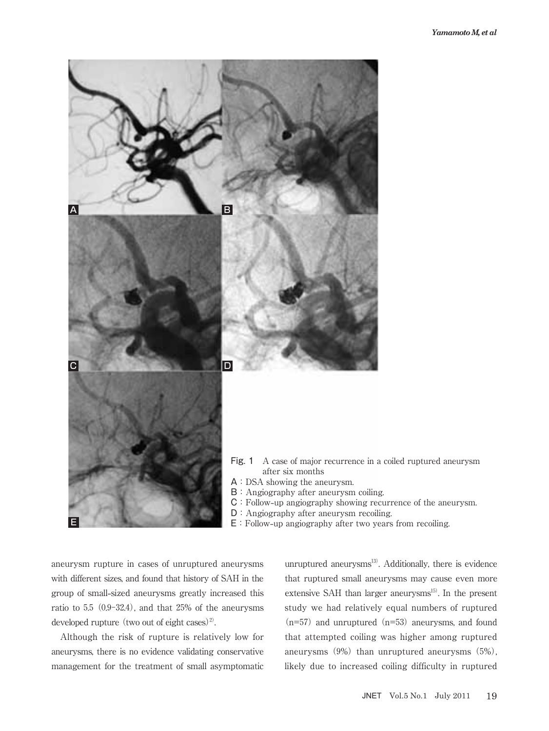

E:Follow**-**up angiography after two years from recoiling.

aneurysm rupture in cases of unruptured aneurysms with different sizes, and found that history of SAH in the group of small**-**sized aneurysms greatly increased this ratio to  $5.5$   $(0.9-32.4)$ , and that  $25\%$  of the aneurysms developed rupture (two out of eight cases)<sup>2)</sup> .

Although the risk of rupture is relatively low for aneurysms, there is no evidence validating conservative management for the treatment of small asymptomatic

unruptured aneurysms . Additionally, there is evidence that ruptured small aneurysms may cause even more extensive SAH than larger aneurysms . In the present study we had relatively equal numbers of ruptured  $(n=57)$  and unruptured  $(n=53)$  aneurysms, and found that attempted coiling was higher among ruptured aneurysms  $(9%)$  than unruptured aneurysms  $(5%)$ , likely due to increased coiling difficulty in ruptured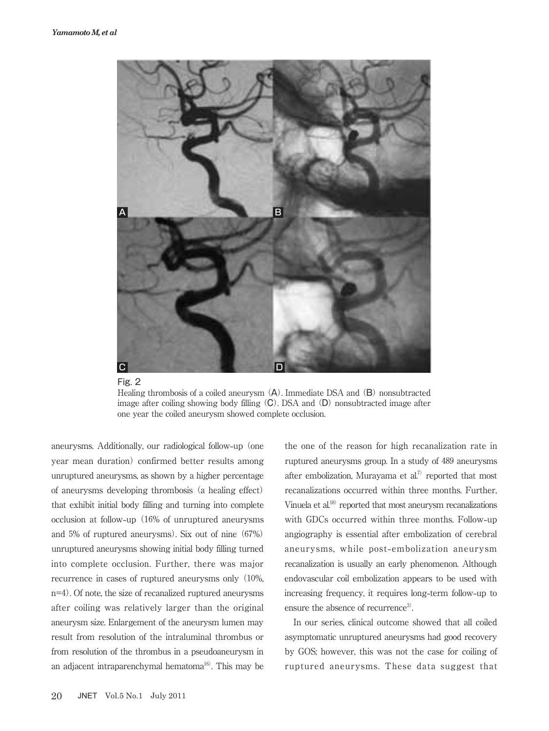



Healing thrombosis of a coiled aneurysm  $(A)$ . Immediate DSA and  $(B)$  nonsubtracted image after coiling showing body filling (C). DSA and (D) nonsubtracted image after one year the coiled aneurysm showed complete occlusion.

aneurysms. Additionally, our radiological follow-up (one year mean duration) confirmed better results among unruptured aneurysms, as shown by a higher percentage of aneurysms developing thrombosis a healing effect that exhibit initial body filling and turning into complete occlusion at follow-up (16% of unruptured aneurysms and  $5\%$  of ruptured aneurysms). Six out of nine  $(67\%)$ unruptured aneurysms showing initial body filling turned into complete occlusion. Further, there was major recurrence in cases of ruptured aneurysms only (10%,  $n=4$ ). Of note, the size of recanalized ruptured aneurysms after coiling was relatively larger than the original aneurysm size. Enlargement of the aneurysm lumen may result from resolution of the intraluminal thrombus or from resolution of the thrombus in a pseudoaneurysm in an adjacent intraparenchymal hematoma<sup>16</sup>. This may be

increasing frequency, it requires long**-**term follow**-**up to ensure the absence of recurrence<sup>3</sup>. In our series, clinical outcome showed that all coiled asymptomatic unruptured aneurysms had good recovery by GOS; however, this was not the case for coiling of ruptured aneurysms. These data suggest that

the one of the reason for high recanalization rate in ruptured aneurysms group. In a study of 489 aneurysms after embolization, Murayama et al.<sup>7)</sup> reported that most recanalizations occurred within three months. Further, Vinuela et al.<sup>18)</sup> reported that most aneurysm recanalizations with GDCs occurred within three months. Follow**-**up angiography is essential after embolization of cerebral aneurysms, while post**-**embolization aneurysm recanalization is usually an early phenomenon. Although endovascular coil embolization appears to be used with

.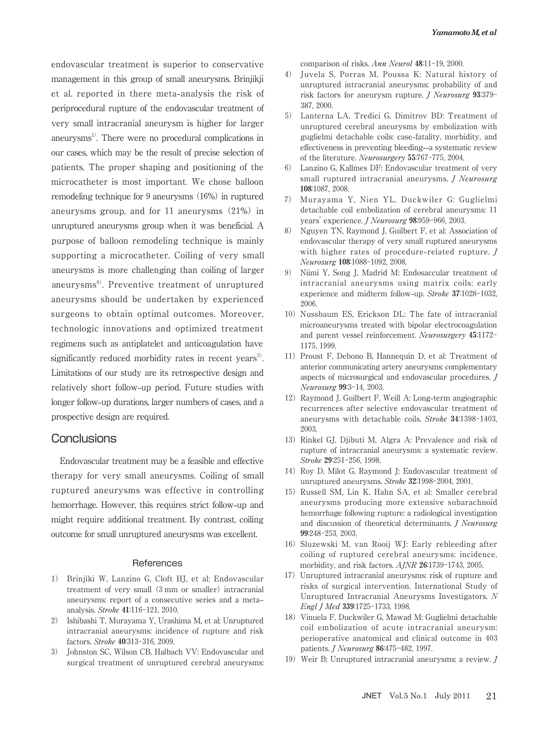endovascular treatment is superior to conservative management in this group of small aneurysms. Brinjikji et al. reported in there meta**-**analysis the risk of periprocedural rupture of the endovascular treatment of very small intracranial aneurysm is higher for larger aneurysms . There were no procedural complications in our cases, which may be the result of precise selection of patients. The proper shaping and positioning of the microcatheter is most important. We chose balloon remodeling technique for 9 aneurysms (16%) in ruptured aneurysms group, and for  $11$  aneurysms  $(21%)$  in unruptured aneurysms group when it was beneficial. A purpose of balloon remodeling technique is mainly supporting a microcatheter. Coiling of very small aneurysms is more challenging than coiling of larger aneurysms . Preventive treatment of unruptured aneurysms should be undertaken by experienced surgeons to obtain optimal outcomes. Moreover, technologic innovations and optimized treatment regimens such as antiplatelet and anticoagulation have significantly reduced morbidity rates in recent years<sup>5</sup>. . Limitations of our study are its retrospective design and relatively short follow**-**up period. Future studies with longer follow**-**up durations, larger numbers of cases, and a prospective design are required.

## Conclusions

Endovascular treatment may be a feasible and effective therapy for very small aneurysms. Coiling of small ruptured aneurysms was effective in controlling hemorrhage. However, this requires strict follow**-**up and might require additional treatment. By contrast, coiling outcome for small unruptured aneurysms was excellent.

#### **References**

- ) Brinjiki W, Lanzino G, Cloft HJ, et al: Endovascular treatment of very small (3 mm or smaller) intracranial aneurysms: report of a consecutive series and a metaanalysis. Stroke 41:116-121, 2010.
- ) Ishibashi T, Murayama Y, Urashima M, et al: Unruptured intracranial aneurysms: incidence of rupture and risk factors. Stroke 40:313-316, 2009.
- ) Johnston SC, Wilson CB, Halbach VV: Endovascular and surgical treatment of unruptured cerebral aneurysms:

comparison of risks. Ann Neurol  $48:11-19$ , 2000.

- ) Juvela S, Porras M, Poussa K: Natural history of unruptured intracranial aneurysms: probability of and risk factors for aneurysm rupture. *J Neurosurg*  $93:379-$ 387, 2000.
- ) Lanterna LA, Tredici G, Dimitrov BD: Treatment of unruptured cerebral aneurysms by embolization with guglielmi detachable coils: case**-**fatality, morbidity, and effectiveness in preventing bleeding**--**a systematic review of the literature. Neurosurgery 55:767-775, 2004.
- ) Lanzino G, Kallmes DF: Endovascular treatment of very small ruptured intracranial aneurysms. *J Neurosurg* 108:1087, 2008.
- ) Murayama Y, Nien YL, Duckwiler G: Guglielmi detachable coil embolization of cerebral aneurysms: years' experience. *J Neurosurg* 98:959-966, 2003.
- ) Nguyen TN, Raymond J, Guilbert F, et al: Association of endovascular therapy of very small ruptured aneurysms with higher rates of procedure**-**related rupture. J Neurosurg 108:1088-1092, 2008.
- ) Niimi Y, Song J, Madrid M: Endosaccular treatment of intracranial aneurysms using matrix coils: early experience and midterm follow-up. Stroke 37:1028-1032, 2006.
- 10) Nussbaum ES, Erickson DL: The fate of intracranial microaneurysms treated with bipolar electrocoagulation and parent vessel reinforcement. Neurosurgery 45:1172-1175, 1999.
- )Proust F, Debono B, Hannequin D, et al: Treatment of anterior communicating artery aneurysms: complementary aspects of microsurgical and endovascular procedures. J Neurosurg 99:3-14, 2003.
- )Raymond J, Guilbert F, Weill A: Long**-**term angiographic recurrences after selective endovascular treatment of aneurysms with detachable coils. Stroke 34:1398-1403, 2003.
- 13) Rinkel GJ, Djibuti M, Algra A: Prevalence and risk of rupture of intracranial aneurysms: a systematic review. Stroke 29:251-256, 1998.
- 14) Roy D, Milot G, Raymond J: Endovascular treatment of unruptured aneurysms. Stroke 32:1998-2004, 2001.
- )Russell SM, Lin K, Hahn SA, et al: Smaller cerebral aneurysms producing more extensive subarachnoid hemorrhage following rupture: a radiological investigation and discussion of theoretical determinants. J Neurosurg 99:248-253, 2003.
- )Sluzewski M, van Rooij WJ: Early rebleeding after coiling of ruptured cerebral aneurysms: incidence, morbidity, and risk factors.  $A/NR$  26:1739-1743, 2005.
- )Unruptured intracranial aneurysms: risk of rupture and risks of surgical intervention. International Study of Unruptured Intracranial Aneurysms Investigators. N Engl J Med 339:1725-1733, 1998.
- )Vinuela F, Duckwiler G, Mawad M: Guglielmi detachable coil embolization of acute intracranial aneurysm: perioperative anatomical and clinical outcome in patients. *J Neurosurg* 86:475-482, 1997.
- 19) Weir B: Unruptured intracranial aneurysms: a review.  $J$